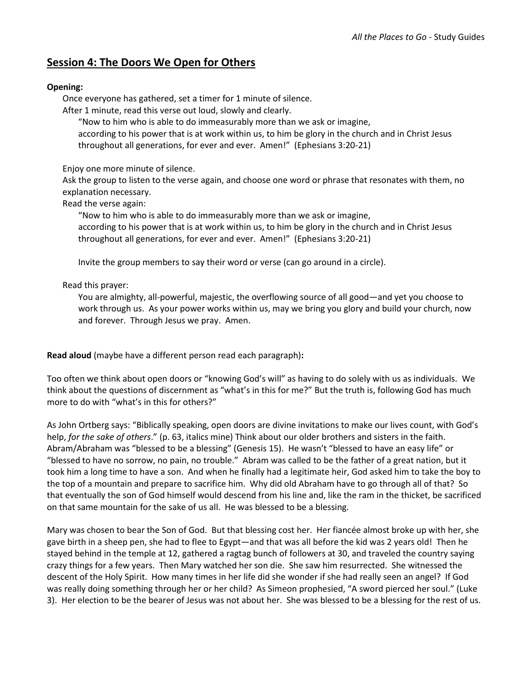## **Session 4: The Doors We Open for Others**

## **Opening:**

Once everyone has gathered, set a timer for 1 minute of silence.

After 1 minute, read this verse out loud, slowly and clearly.

"Now to him who is able to do immeasurably more than we ask or imagine,

according to his power that is at work within us, to him be glory in the church and in Christ Jesus throughout all generations, for ever and ever. Amen!" (Ephesians 3:20-21)

Enjoy one more minute of silence.

Ask the group to listen to the verse again, and choose one word or phrase that resonates with them, no explanation necessary.

Read the verse again:

"Now to him who is able to do immeasurably more than we ask or imagine, according to his power that is at work within us, to him be glory in the church and in Christ Jesus throughout all generations, for ever and ever. Amen!" (Ephesians 3:20-21)

Invite the group members to say their word or verse (can go around in a circle).

Read this prayer:

You are almighty, all-powerful, majestic, the overflowing source of all good—and yet you choose to work through us. As your power works within us, may we bring you glory and build your church, now and forever. Through Jesus we pray. Amen.

**Read aloud** (maybe have a different person read each paragraph)**:**

Too often we think about open doors or "knowing God's will" as having to do solely with us as individuals. We think about the questions of discernment as "what's in this for me?" But the truth is, following God has much more to do with "what's in this for others?"

As John Ortberg says: "Biblically speaking, open doors are divine invitations to make our lives count, with God's help, *for the sake of others*." (p. 63, italics mine) Think about our older brothers and sisters in the faith. Abram/Abraham was "blessed to be a blessing" (Genesis 15). He wasn't "blessed to have an easy life" or "blessed to have no sorrow, no pain, no trouble." Abram was called to be the father of a great nation, but it took him a long time to have a son. And when he finally had a legitimate heir, God asked him to take the boy to the top of a mountain and prepare to sacrifice him. Why did old Abraham have to go through all of that? So that eventually the son of God himself would descend from his line and, like the ram in the thicket, be sacrificed on that same mountain for the sake of us all. He was blessed to be a blessing.

Mary was chosen to bear the Son of God. But that blessing cost her. Her fiancée almost broke up with her, she gave birth in a sheep pen, she had to flee to Egypt—and that was all before the kid was 2 years old! Then he stayed behind in the temple at 12, gathered a ragtag bunch of followers at 30, and traveled the country saying crazy things for a few years. Then Mary watched her son die. She saw him resurrected. She witnessed the descent of the Holy Spirit. How many times in her life did she wonder if she had really seen an angel? If God was really doing something through her or her child? As Simeon prophesied, "A sword pierced her soul." (Luke 3). Her election to be the bearer of Jesus was not about her. She was blessed to be a blessing for the rest of us.